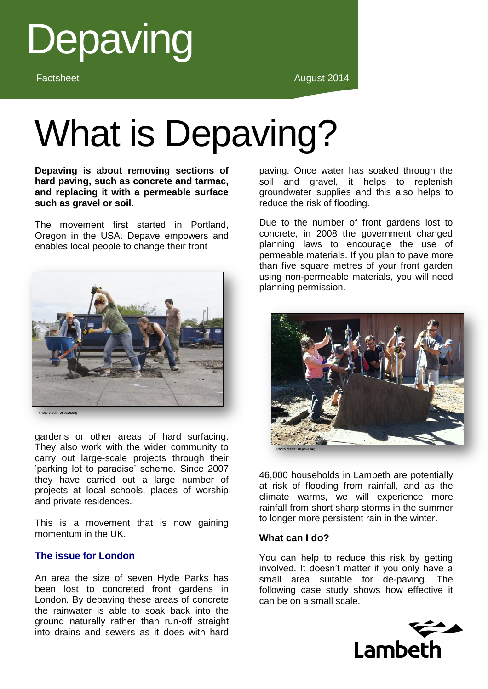

# What is Depaving?

**Depaving is about removing sections of hard paving, such as concrete and tarmac, and replacing it with a permeable surface such as gravel or soil.**

The movement first started in Portland, Oregon in the USA. Depave empowers and enables local people to change their front



gardens or other areas of hard surfacing.

They also work with the wider community to carry out large-scale projects through their 'parking lot to paradise' scheme. Since 2007 they have carried out a large number of projects at local schools, places of worship and private residences.

This is a movement that is now gaining momentum in the UK.

### **The issue for London**

An area the size of seven Hyde Parks has been lost to concreted front gardens in London. By depaving these areas of concrete the rainwater is able to soak back into the ground naturally rather than run-off straight into drains and sewers as it does with hard

paving. Once water has soaked through the soil and gravel, it helps to replenish groundwater supplies and this also helps to reduce the risk of flooding.

Due to the number of front gardens lost to concrete, in 2008 the government changed planning laws to encourage the use of permeable materials. If you plan to pave more than five square metres of your front garden using non-permeable materials, you will need planning permission.



46,000 households in Lambeth are potentially at risk of flooding from rainfall, and as the climate warms, we will experience more rainfall from short sharp storms in the summer to longer more persistent rain in the winter.

#### **What can I do?**

You can help to reduce this risk by getting involved. It doesn't matter if you only have a small area suitable for de-paving. The following case study shows how effective it can be on a small scale.